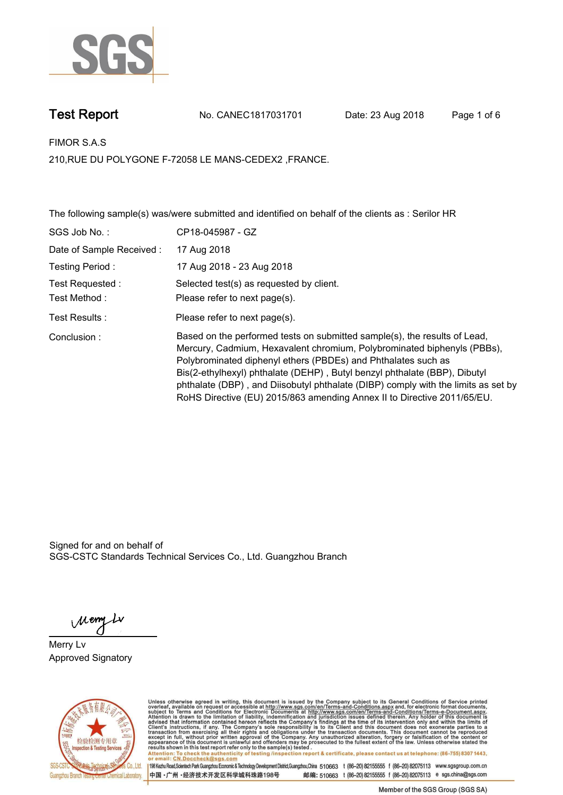

**Test Report. No. CANEC1817031701 Date: 23 Aug 2018. Page 1 of 6.**

**FIMOR S.A.S.**

**210,RUE DU POLYGONE F-72058 LE MANS-CEDEX2 ,FRANCE.**

**The following sample(s) was/were submitted and identified on behalf of the clients as : Serilor HR.**

| SGS Job No.:             | CP18-045987 - GZ                                                                                                                                                                                                                                                                                                                                                                                                                                                   |
|--------------------------|--------------------------------------------------------------------------------------------------------------------------------------------------------------------------------------------------------------------------------------------------------------------------------------------------------------------------------------------------------------------------------------------------------------------------------------------------------------------|
| Date of Sample Received: | 17 Aug 2018                                                                                                                                                                                                                                                                                                                                                                                                                                                        |
| Testing Period :         | 17 Aug 2018 - 23 Aug 2018                                                                                                                                                                                                                                                                                                                                                                                                                                          |
| Test Requested :         | Selected test(s) as requested by client.                                                                                                                                                                                                                                                                                                                                                                                                                           |
| Test Method :            | Please refer to next page(s).                                                                                                                                                                                                                                                                                                                                                                                                                                      |
| Test Results :           | Please refer to next page(s).                                                                                                                                                                                                                                                                                                                                                                                                                                      |
| Conclusion:              | Based on the performed tests on submitted sample(s), the results of Lead,<br>Mercury, Cadmium, Hexavalent chromium, Polybrominated biphenyls (PBBs),<br>Polybrominated diphenyl ethers (PBDEs) and Phthalates such as<br>Bis(2-ethylhexyl) phthalate (DEHP), Butyl benzyl phthalate (BBP), Dibutyl<br>phthalate (DBP), and Diisobutyl phthalate (DIBP) comply with the limits as set by<br>RoHS Directive (EU) 2015/863 amending Annex II to Directive 2011/65/EU. |

Signed for and on behalf of SGS-CSTC Standards Technical Services Co., Ltd. Guangzhou Branch.

Meny Ly

**Merry Lv. Approved Signatory.**



Unless otherwise agreed in writing, this document is issued by the Company subject to its General Conditions of Service printed overleaf, available on request or accessible at http://www.sgs.com/en/Terms-and-Conditions.asp Attention: To check the authenticity of testing /inspection report & certificate, please contact us at telephone: (86-755) 8307 1443,<br>Attention: To check the authenticity of testing /inspection report & certificate, please

198 Kezhu Road,Scientech Park Guangzhou Economic & Technology Development District,Guangzhou,China 510663 t (86-20) 82155555 f (86-20) 82075113 www.sgsgroup.com.cn 中国·广州·经济技术开发区科学城科珠路198号 邮编: 510663 t (86-20) 82155555 f (86-20) 82075113 e sgs.china@sgs.com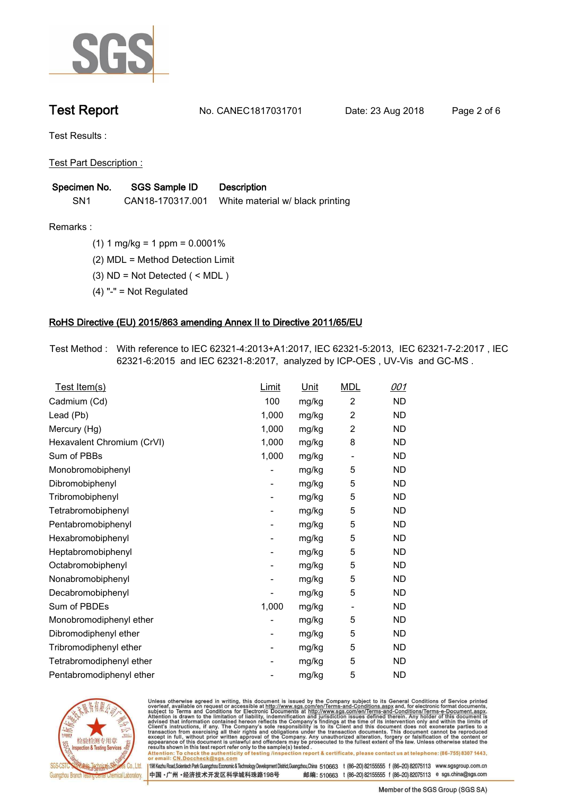

**Test Report. No. CANEC1817031701 Date: 23 Aug 2018. Page 2 of 6.**

**Test Results :.**

**Test Part Description :.**

| Specimen No.    | SGS Sample ID    | <b>Description</b>               |
|-----------------|------------------|----------------------------------|
| SN <sub>1</sub> | CAN18-170317.001 | White material w/ black printing |

**Remarks :.(1) 1 mg/kg = 1 ppm = 0.0001%.**

**(2) MDL = Method Detection Limit.**

**(3) ND = Not Detected ( < MDL ).**

**(4) "-" = Not Regulated.**

## **RoHS Directive (EU) 2015/863 amending Annex II to Directive 2011/65/EU.**

**Test Method :. With reference to IEC 62321-4:2013+A1:2017, IEC 62321-5:2013, IEC 62321-7-2:2017 , IEC 62321-6:2015 and IEC 62321-8:2017, analyzed by ICP-OES , UV-Vis and GC-MS ..**

| Test Item(s)               | <u>Limit</u> | <u>Unit</u> | <b>MDL</b>               | 001       |
|----------------------------|--------------|-------------|--------------------------|-----------|
| Cadmium (Cd)               | 100          | mg/kg       | $\overline{2}$           | <b>ND</b> |
| Lead (Pb)                  | 1,000        | mg/kg       | $\overline{c}$           | <b>ND</b> |
| Mercury (Hg)               | 1,000        | mg/kg       | 2                        | <b>ND</b> |
| Hexavalent Chromium (CrVI) | 1,000        | mg/kg       | 8                        | <b>ND</b> |
| Sum of PBBs                | 1,000        | mg/kg       | $\overline{\phantom{a}}$ | <b>ND</b> |
| Monobromobiphenyl          |              | mg/kg       | 5                        | <b>ND</b> |
| Dibromobiphenyl            | -            | mg/kg       | 5                        | <b>ND</b> |
| Tribromobiphenyl           | -            | mg/kg       | 5                        | <b>ND</b> |
| Tetrabromobiphenyl         |              | mg/kg       | 5                        | <b>ND</b> |
| Pentabromobiphenyl         | -            | mg/kg       | 5                        | <b>ND</b> |
| Hexabromobiphenyl          |              | mg/kg       | 5                        | ND        |
| Heptabromobiphenyl         | -            | mg/kg       | 5                        | <b>ND</b> |
| Octabromobiphenyl          |              | mg/kg       | 5                        | <b>ND</b> |
| Nonabromobiphenyl          |              | mg/kg       | 5                        | <b>ND</b> |
| Decabromobiphenyl          |              | mg/kg       | 5                        | <b>ND</b> |
| Sum of PBDEs               | 1,000        | mg/kg       | $\overline{\phantom{a}}$ | <b>ND</b> |
| Monobromodiphenyl ether    |              | mg/kg       | 5                        | <b>ND</b> |
| Dibromodiphenyl ether      | -            | mg/kg       | 5                        | <b>ND</b> |
| Tribromodiphenyl ether     | -            | mg/kg       | 5                        | <b>ND</b> |
| Tetrabromodiphenyl ether   |              | mg/kg       | 5                        | <b>ND</b> |
| Pentabromodiphenyl ether   |              | mg/kg       | 5                        | <b>ND</b> |
|                            |              |             |                          |           |



Unless otherwise agreed in writing, this document is issued by the Company subject to its General Conditions of Service printed<br>overleaf, available on request or accessible at http://www.sgs.com/en/Terms-and-Conditions.asp Attention: To check the authenticity of testing /inspection report & certificate, please contact us at telephone: (86-755) 8307 1443,<br>Attention: To check the authenticity of testing /inspection report & certificate, please

198 Kezhu Road,Scientech Park Guangzhou Economic & Technology Development District,Guangzhou,China 510663 t (86-20) 82155555 f (86-20) 82075113 www.sgsgroup.com.cn

邮编: 510663 t (86-20) 82155555 f (86-20) 82075113 e sgs.china@sgs.com 中国·广州·经济技术开发区科学城科珠路198号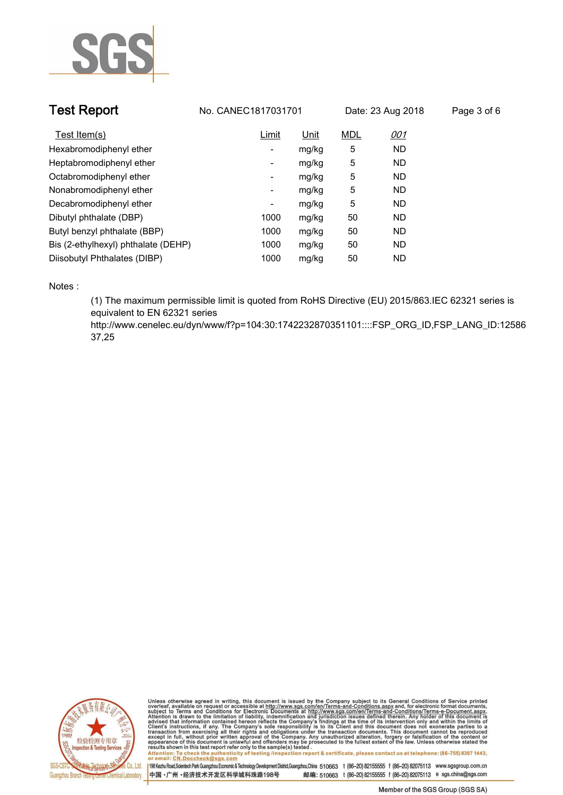

| <b>Test Report</b>                  | No. CANEC1817031701      |             | Date: 23 Aug 2018 |            | Page 3 of 6 |
|-------------------------------------|--------------------------|-------------|-------------------|------------|-------------|
| Test Item(s)                        | Limit                    | <u>Unit</u> | <b>MDL</b>        | <u>001</u> |             |
| Hexabromodiphenyl ether             | -                        | mg/kg       | 5                 | ND.        |             |
| Heptabromodiphenyl ether            | ۰                        | mg/kg       | 5                 | ND.        |             |
| Octabromodiphenyl ether             | $\overline{\phantom{a}}$ | mg/kg       | 5                 | ND.        |             |
| Nonabromodiphenyl ether             | -                        | mg/kg       | 5                 | ND.        |             |
| Decabromodiphenyl ether             | -                        | mg/kg       | 5                 | ND         |             |
| Dibutyl phthalate (DBP)             | 1000                     | mg/kg       | 50                | ND.        |             |
| Butyl benzyl phthalate (BBP)        | 1000                     | mg/kg       | 50                | ND.        |             |
| Bis (2-ethylhexyl) phthalate (DEHP) | 1000                     | mg/kg       | 50                | ND.        |             |
| Diisobutyl Phthalates (DIBP)        | 1000                     | mg/kg       | 50                | ND         |             |

**Notes :.**

**(1) The maximum permissible limit is quoted from RoHS Directive (EU) 2015/863.IEC 62321 series is equivalent to EN 62321 series** 

**http://www.cenelec.eu/dyn/www/f?p=104:30:1742232870351101::::FSP\_ORG\_ID,FSP\_LANG\_ID:12586 37,25.**



Unless otherwise agreed in writing, this document is issued by the Company subject to its General Conditions of Service printed<br>overleaf, available on request or accessible at http://www.sgs.com/en/Terms-and-Conditions.asp results shown in this test report refer only to the sample(s) tested .<br>Attention: To check the authenticity of testing /inspection report & certificate, please contact us at telephone: (86-755) 8307 1443,<br>or email: <u>CN.Doc</u>

198 Kezhu Road,Scientech Park Guangzhou Economic & Technology Development District,Guangzhou,China 510663 t (86-20) 82155555 f (86-20) 82075113 www.sgsgroup.com.cn 中国·广州·经济技术开发区科学城科珠路198号 邮编: 510663 t (86-20) 82155555 f (86-20) 82075113 e sgs.china@sgs.com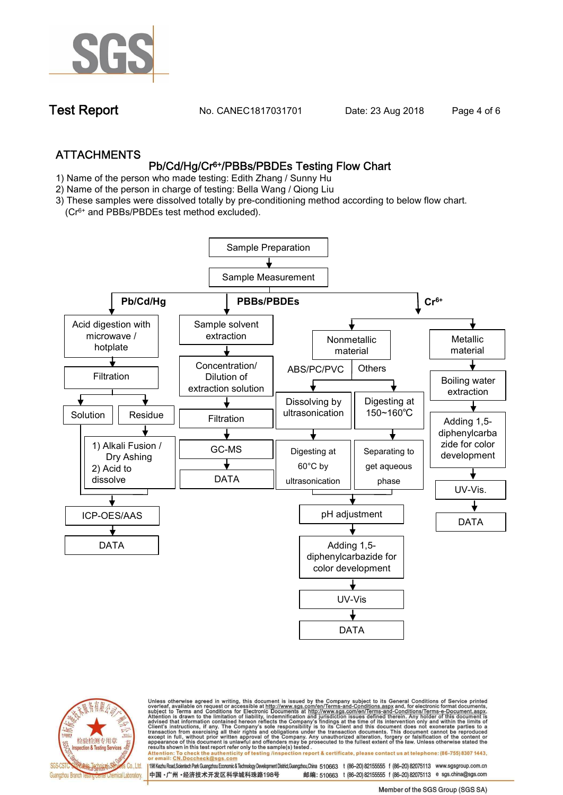

**Test Report. No. CANEC1817031701** Date: 23 Aug 2018. **Page 4 of 6.** 

# **ATTACHMENTS Pb/Cd/Hg/Cr6+/PBBs/PBDEs Testing Flow Chart**

- **1)** Name of the person who made testing: **Edith Zhang / Sunny Hu**
- **2)** Name of the person in charge of testing: **Bella Wang / Qiong Liu**
- **3) These samples were dissolved totally by pre-conditioning method according to below flow chart.**

**(Cr6+ and PBBs/PBDEs test method excluded).**





Unless otherwise agreed in writing, this document is issued by the Company subject to its General Conditions of Service printed<br>overleaf, available on request or accessible at http://www.sgs.com/en/Terms-and-Conditions.asp

resuns shown in this test report refer only to the sample(s) tested .<br>Attention: To check the authenticity of testing /inspection report & certificate, please contact us at telephone: (86-755) 8307 1443,<br>or email: <u>CN.Docc</u>

198 Kezhu Road,Scientech Park Guangzhou Economic & Technology Development District,Guangzhou,China 510663 t (86-20) 82155555 f (86-20) 82075113 www.sgsgroup.com.cn 邮编: 510663 t (86-20) 82155555 f (86-20) 82075113 e sgs.china@sgs.com 中国·广州·经济技术开发区科学城科珠路198号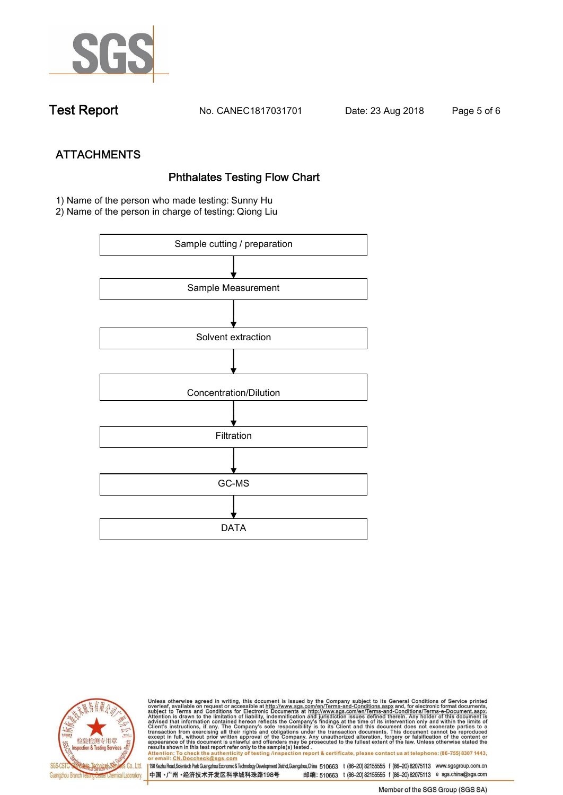

**Test Report. No. CANEC1817031701 Date: 23 Aug 2018. Page 5 of 6.**

**ATTACHMENTS**<br>Phthalates Testing Flow Chart<br>1) Name of the person who made testing: Sunny Hu

**2) Name of the person in charge of testing: Qiong Liu**





Unless otherwise agreed in writing, this document is issued by the Company subject to its General Conditions of Service printed<br>overleaf, available on request or accessible at http://www.sgs.com/en/Terms-and-Conditions.asp results shown in this test report refer only to the sample(s) tested .<br>Attention: To check the authenticity of testing /inspection report & certificate, please contact us at telephone: (86-755) 8307 1443,<br>or email: <u>CN.Doc</u>

198 Kezhu Road,Scientech Park Guangzhou Economic & Technology Development District,Guangzhou,China 510663 t (86-20) 82155555 f (86-20) 82075113 www.sgsgroup.com.cn 中国·广州·经济技术开发区科学城科珠路198号 邮编: 510663 t (86-20) 82155555 f (86-20) 82075113 e sgs.china@sgs.com